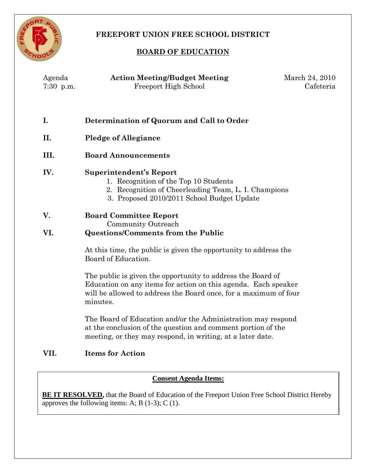

# **FREEPORT UNION FREE SCHOOL DISTRICT**

## **BOARD OF EDUCATION**

| Agenda<br>$7:30$ p.m. | <b>Action Meeting/Budget Meeting</b><br>Freeport High School                                                                                                                                                  | March 24, 2010<br>Cafeteria |
|-----------------------|---------------------------------------------------------------------------------------------------------------------------------------------------------------------------------------------------------------|-----------------------------|
| I.                    | Determination of Quorum and Call to Order                                                                                                                                                                     |                             |
| II.                   | <b>Pledge of Allegiance</b>                                                                                                                                                                                   |                             |
| III.                  | <b>Board Announcements</b>                                                                                                                                                                                    |                             |
| IV.                   | <b>Superintendent's Report</b><br>1. Recognition of the Top 10 Students<br>2. Recognition of Cheerleading Team, L. I. Champions<br>3. Proposed 2010/2011 School Budget Update                                 |                             |
| V.                    | <b>Board Committee Report</b><br>Community Outreach                                                                                                                                                           |                             |
| VI.                   | <b>Questions/Comments from the Public</b>                                                                                                                                                                     |                             |
|                       | At this time, the public is given the opportunity to address the<br>Board of Education.                                                                                                                       |                             |
|                       | The public is given the opportunity to address the Board of<br>Education on any items for action on this agenda. Each speaker<br>will be allowed to address the Board once, for a maximum of four<br>minutes. |                             |
|                       | The Board of Education and/or the Administration may respond<br>at the conclusion of the question and comment portion of the<br>meeting, or they may respond, in writing, at a later date.                    |                             |
| VII.                  | <b>Items for Action</b>                                                                                                                                                                                       |                             |

**Consent Agenda Items:**

**BE IT RESOLVED,** that the Board of Education of the Freeport Union Free School District Hereby approves the following items: A; B  $(1-3)$ ; C  $(1)$ .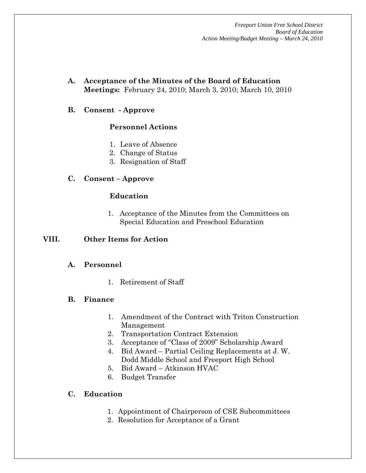*Freeport Union Free School District Board of Education Action Meeting/Budget Meeting – March 24, 2010*

- **A. Acceptance of the Minutes of the Board of Education Meetings:** February 24, 2010; March 3, 2010; March 10, 2010
- **B. Consent - Approve**

#### **Personnel Actions**

- 1. Leave of Absence
- 2. Change of Status
- 3. Resignation of Staff

#### **C. Consent – Approve**

#### **Education**

1. Acceptance of the Minutes from the Committees on Special Education and Preschool Education

#### **VIII. Other Items for Action**

#### **A. Personnel**

1. Retirement of Staff

#### **B. Finance**

- 1. Amendment of the Contract with Triton Construction Management
- 2. Transportation Contract Extension
- 3. Acceptance of "Class of 2009" Scholarship Award
- 4. Bid Award Partial Ceiling Replacements at J. W. Dodd Middle School and Freeport High School
- 5. Bid Award Atkinson HVAC
- 6. Budget Transfer

## **C. Education**

- 1. Appointment of Chairperson of CSE Subcommittees
- 2. Resolution for Acceptance of a Grant